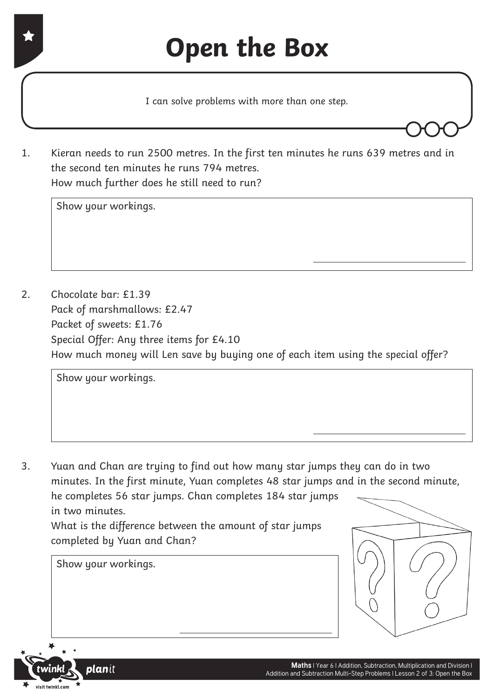I can solve problems with more than one step.

1. Kieran needs to run 2500 metres. In the first ten minutes he runs 639 metres and in the second ten minutes he runs 794 metres. How much further does he still need to run?

Show your workings.

2. Chocolate bar: £1.39 Pack of marshmallows: £2.47 Packet of sweets: £1.76 Special Offer: Any three items for £4.10 How much money will Len save by buying one of each item using the special offer?

Show your workings.

3. Yuan and Chan are trying to find out how many star jumps they can do in two minutes. In the first minute, Yuan completes 48 star jumps and in the second minute, he completes 56 star jumps. Chan completes 184 star jumps in two minutes. What is the difference between the amount of star jumps

 completed by Yuan and Chan?



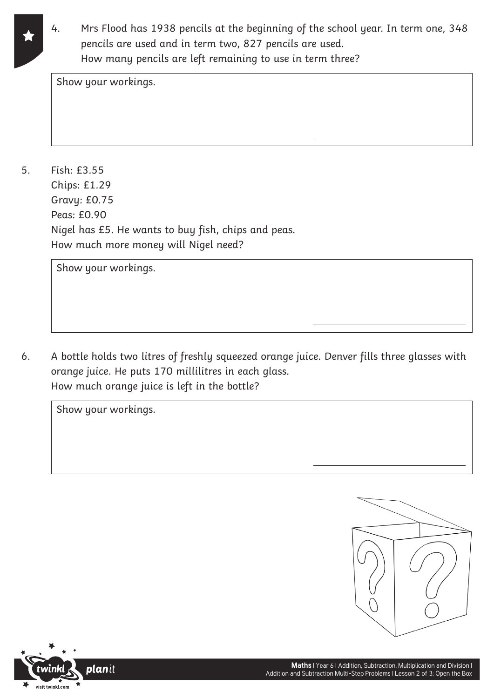- 
- 4. Mrs Flood has 1938 pencils at the beginning of the school year. In term one, 348 pencils are used and in term two, 827 pencils are used. How many pencils are left remaining to use in term three?

Show your workings.

5. Fish: £3.55 Chips: £1.29 Gravy: £0.75 Peas: £0.90 Nigel has £5. He wants to buy fish, chips and peas. How much more money will Nigel need?

Show your workings.

6. A bottle holds two litres of freshly squeezed orange juice. Denver fills three glasses with orange juice. He puts 170 millilitres in each glass. How much orange juice is left in the bottle?



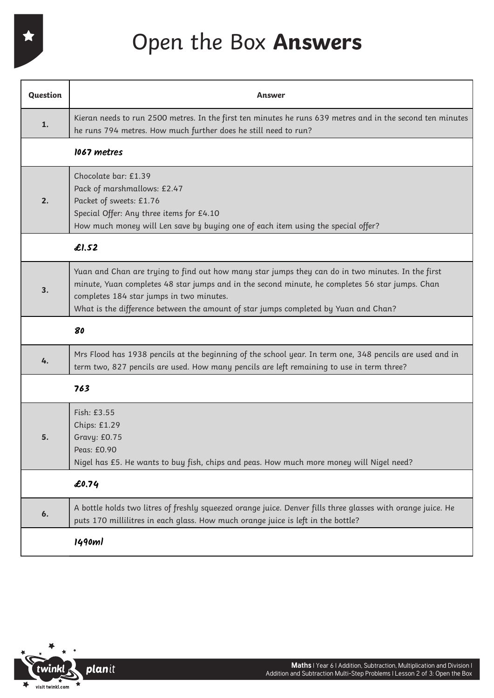Open the Box **Answers**

| Question | Answer                                                                                                                                                                                                                                                                                                                                  |
|----------|-----------------------------------------------------------------------------------------------------------------------------------------------------------------------------------------------------------------------------------------------------------------------------------------------------------------------------------------|
| 1.       | Kieran needs to run 2500 metres. In the first ten minutes he runs 639 metres and in the second ten minutes<br>he runs 794 metres. How much further does he still need to run?                                                                                                                                                           |
|          | 1067 metres                                                                                                                                                                                                                                                                                                                             |
| 2.       | Chocolate bar: £1.39<br>Pack of marshmallows: £2.47<br>Packet of sweets: £1.76<br>Special Offer: Any three items for £4.10<br>How much money will Len save by buying one of each item using the special offer?                                                                                                                          |
|          | £1,52                                                                                                                                                                                                                                                                                                                                   |
| 3.       | Yuan and Chan are trying to find out how many star jumps they can do in two minutes. In the first<br>minute, Yuan completes 48 star jumps and in the second minute, he completes 56 star jumps. Chan<br>completes 184 star jumps in two minutes.<br>What is the difference between the amount of star jumps completed by Yuan and Chan? |
|          | 80                                                                                                                                                                                                                                                                                                                                      |
| 4.       | Mrs Flood has 1938 pencils at the beginning of the school year. In term one, 348 pencils are used and in<br>term two, 827 pencils are used. How many pencils are left remaining to use in term three?                                                                                                                                   |
|          | 763                                                                                                                                                                                                                                                                                                                                     |
| 5.       | Fish: £3.55<br>Chips: £1.29<br>Gravy: £0.75<br>Peas: £0.90<br>Nigel has £5. He wants to buy fish, chips and peas. How much more money will Nigel need?                                                                                                                                                                                  |
|          | £0.74                                                                                                                                                                                                                                                                                                                                   |
| 6.       | A bottle holds two litres of freshly squeezed orange juice. Denver fills three glasses with orange juice. He<br>puts 170 millilitres in each glass. How much orange juice is left in the bottle?                                                                                                                                        |
|          | 1490ml                                                                                                                                                                                                                                                                                                                                  |

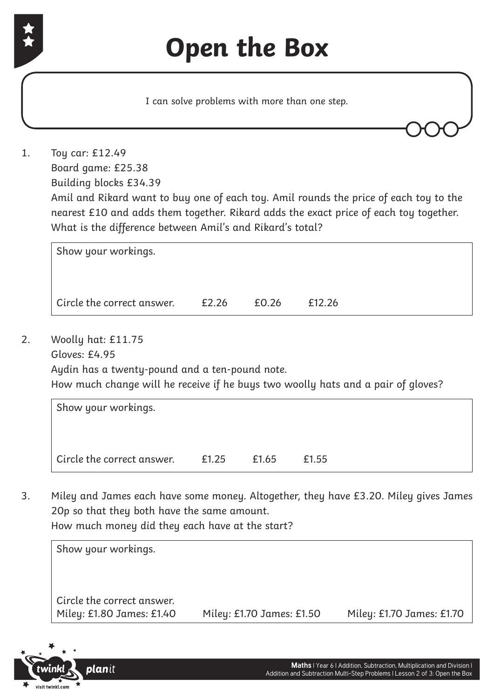

 Amil and Rikard want to buy one of each toy. Amil rounds the price of each toy to the nearest £10 and adds them together. Rikard adds the exact price of each toy together. What is the difference between Amil's and Rikard's total?

Show your workings. Circle the correct answer.  $\qquad 2.26$  £0.26 £12.26

2. Woolly hat: £11.75 Gloves: £4.95

 Aydin has a twenty-pound and a ten-pound note.

 How much change will he receive if he buys two woolly hats and a pair of gloves?

| Show your workings.        |       |       |       |
|----------------------------|-------|-------|-------|
|                            |       |       |       |
| Circle the correct answer. | £1.25 | £1.65 | £1.55 |

3. Miley and James each have some money. Altogether, they have £3.20. Miley gives James 20p so that they both have the same amount. How much money did they each have at the start?

| Circle the correct answer. |                           |                           |
|----------------------------|---------------------------|---------------------------|
| Miley: £1.80 James: £1.40  | Miley: £1.70 James: £1.50 | Miley: £1.70 James: £1.70 |

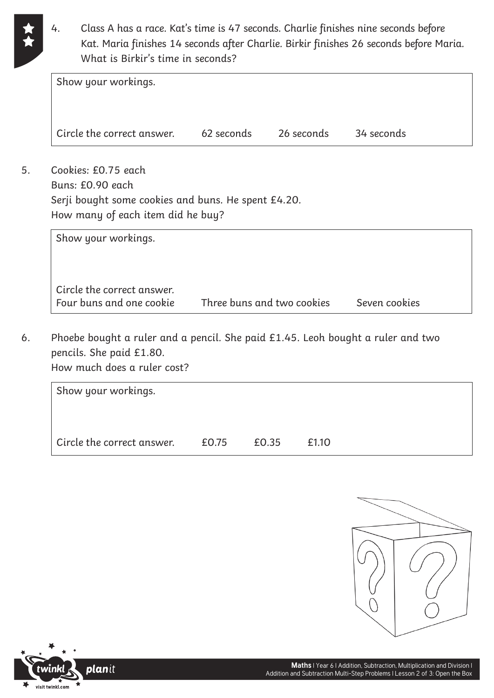4. Class A has a race. Kat's time is 47 seconds. Charlie finishes nine seconds before Kat. Maria finishes 14 seconds after Charlie. Birkir finishes 26 seconds before Maria. What is Birkir's time in seconds?

| Show your workings.        |            |            |            |  |
|----------------------------|------------|------------|------------|--|
| Circle the correct answer. | 62 seconds | 26 seconds | 34 seconds |  |
| Cookies: £0.75 each        |            |            |            |  |

5. Cookies: £0.75 each Buns: £0.90 each Serji bought some cookies and buns. He spent £4.20. How many of each item did he buy?

| Show your workings.                                    |                            |               |
|--------------------------------------------------------|----------------------------|---------------|
| Circle the correct answer.<br>Four buns and one cookie | Three buns and two cookies | Seven cookies |

6. Phoebe bought a ruler and a pencil. She paid £1.45. Leoh bought a ruler and two pencils. She paid £1.80. How much does a ruler cost?

| Show your workings.        |       |       |       |  |
|----------------------------|-------|-------|-------|--|
| Circle the correct answer. | £0.75 | £0.35 | £1.10 |  |



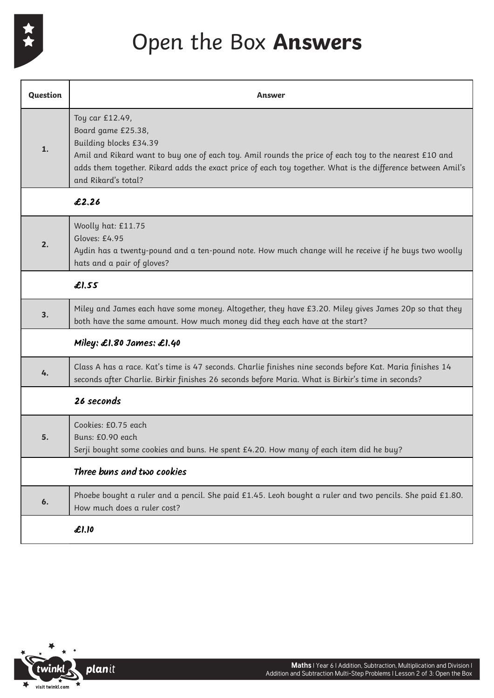

## Open the Box **Answers**

| <b>Question</b> | Answer                                                                                                                                                                                                                                                                                                         |
|-----------------|----------------------------------------------------------------------------------------------------------------------------------------------------------------------------------------------------------------------------------------------------------------------------------------------------------------|
| $\mathbf{1}$ .  | Toy car £12.49,<br>Board game £25.38,<br>Building blocks £34.39<br>Amil and Rikard want to buy one of each toy. Amil rounds the price of each toy to the nearest £10 and<br>adds them together. Rikard adds the exact price of each toy together. What is the difference between Amil's<br>and Rikard's total? |
|                 | £2.26                                                                                                                                                                                                                                                                                                          |
| 2.              | Woolly hat: £11.75<br>Gloves: £4.95<br>Aydin has a twenty-pound and a ten-pound note. How much change will he receive if he buys two woolly<br>hats and a pair of gloves?                                                                                                                                      |
|                 | £I,55                                                                                                                                                                                                                                                                                                          |
| 3.              | Miley and James each have some money. Altogether, they have £3.20. Miley gives James 20p so that they<br>both have the same amount. How much money did they each have at the start?                                                                                                                            |
|                 | Miley: $\pounds$ 1.80 James: $\pounds$ 1.40                                                                                                                                                                                                                                                                    |
| 4.              | Class A has a race. Kat's time is 47 seconds. Charlie finishes nine seconds before Kat. Maria finishes 14<br>seconds after Charlie. Birkir finishes 26 seconds before Maria. What is Birkir's time in seconds?                                                                                                 |
|                 | 26 seconds                                                                                                                                                                                                                                                                                                     |
| 5.              | Cookies: £0.75 each<br>Buns: £0.90 each<br>Serji bought some cookies and buns. He spent £4.20. How many of each item did he buy?                                                                                                                                                                               |
|                 | Three buns and two cookies                                                                                                                                                                                                                                                                                     |
| 6.              | Phoebe bought a ruler and a pencil. She paid £1.45. Leoh bought a ruler and two pencils. She paid £1.80.<br>How much does a ruler cost?                                                                                                                                                                        |
|                 | £1.10                                                                                                                                                                                                                                                                                                          |

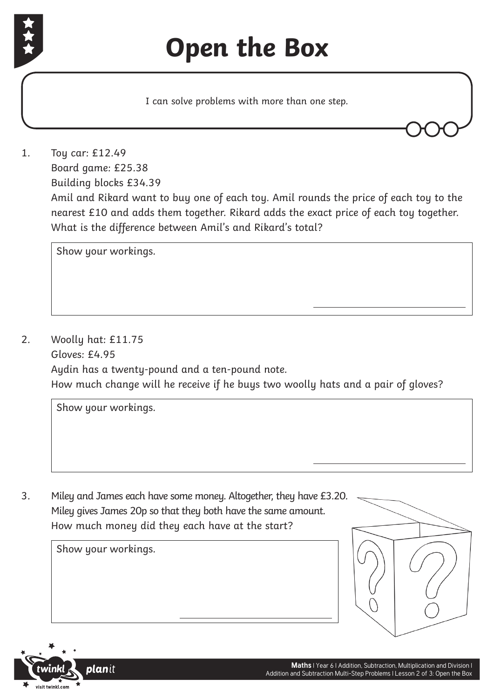

## **Open the Box**

I can solve problems with more than one step.

1. Toy car: £12.49 Board game: £25.38 Building blocks £34.39 Amil and Rikard want to buy one of each toy. Amil rounds the price of each toy to the nearest £10 and adds them together. Rikard adds the exact price of each toy together. What is the difference between Amil's and Rikard's total?

Show your workings.

2. Woolly hat: £11.75 Gloves: £4.95 Aydin has a twenty-pound and a ten-pound note. How much change will he receive if he buys two woolly hats and a pair of gloves?

Show your workings.

3. Miley and James each have some money. Altogether, they have £3.20. Miley gives James 20p so that they both have the same amount. How much money did they each have at the start?



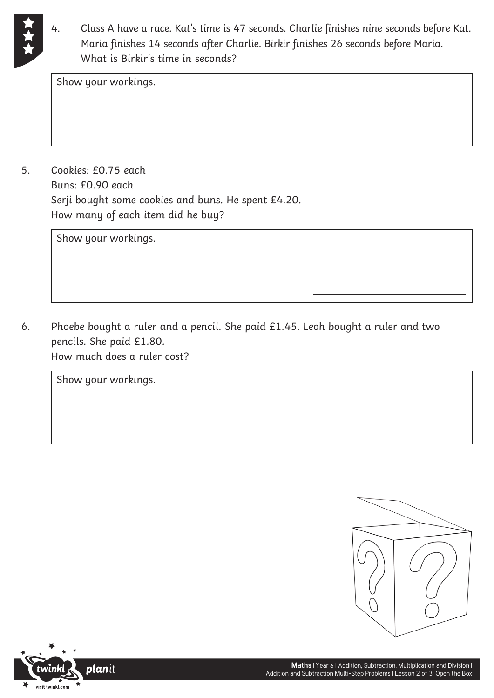

4. Class A have a race. Kat's time is 47 seconds. Charlie finishes nine seconds before Kat. Maria finishes 14 seconds after Charlie. Birkir finishes 26 seconds before Maria. What is Birkir's time in seconds?

Show your workings.

5. Cookies: £0.75 each Buns: £0.90 each Serji bought some cookies and buns. He spent £4.20. How many of each item did he buy?

Show your workings.

6. Phoebe bought a ruler and a pencil. She paid £1.45. Leoh bought a ruler and two pencils. She paid £1.80. How much does a ruler cost?